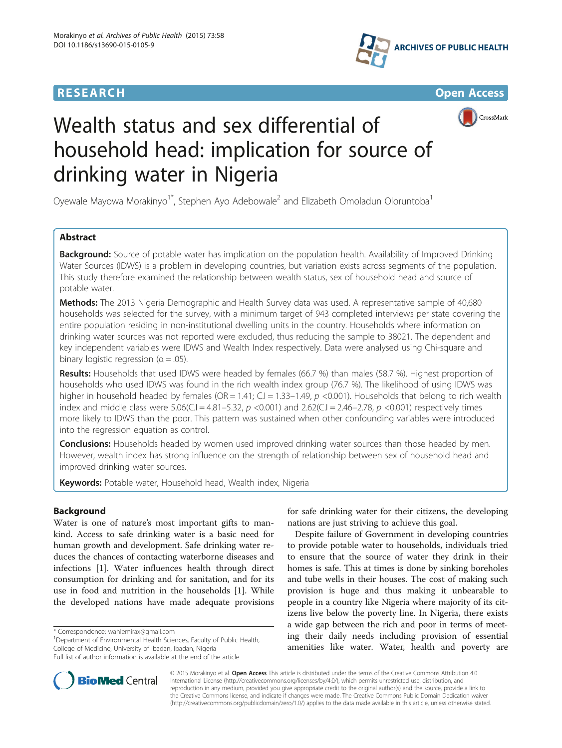





# Wealth status and sex differential of household head: implication for source of drinking water in Nigeria

Oyewale Mayowa Morakinyo<sup>1\*</sup>, Stephen Ayo Adebowale<sup>2</sup> and Elizabeth Omoladun Oloruntoba<sup>1</sup>

# Abstract

Background: Source of potable water has implication on the population health. Availability of Improved Drinking Water Sources (IDWS) is a problem in developing countries, but variation exists across segments of the population. This study therefore examined the relationship between wealth status, sex of household head and source of potable water.

Methods: The 2013 Nigeria Demographic and Health Survey data was used. A representative sample of 40,680 households was selected for the survey, with a minimum target of 943 completed interviews per state covering the entire population residing in non-institutional dwelling units in the country. Households where information on drinking water sources was not reported were excluded, thus reducing the sample to 38021. The dependent and key independent variables were IDWS and Wealth Index respectively. Data were analysed using Chi-square and binary logistic regression ( $\alpha = .05$ ).

Results: Households that used IDWS were headed by females (66.7 %) than males (58.7 %). Highest proportion of households who used IDWS was found in the rich wealth index group (76.7 %). The likelihood of using IDWS was higher in household headed by females (OR = 1.41; C.I = 1.33–1.49,  $p$  <0.001). Households that belong to rich wealth index and middle class were  $5.06$ (C.I = 4.81–5.32,  $p$  <0.001) and  $2.62$ (C.I = 2.46–2.78,  $p$  <0.001) respectively times more likely to IDWS than the poor. This pattern was sustained when other confounding variables were introduced into the regression equation as control.

**Conclusions:** Households headed by women used improved drinking water sources than those headed by men. However, wealth index has strong influence on the strength of relationship between sex of household head and improved drinking water sources.

Keywords: Potable water, Household head, Wealth index, Nigeria

# **Background**

Water is one of nature's most important gifts to mankind. Access to safe drinking water is a basic need for human growth and development. Safe drinking water reduces the chances of contacting waterborne diseases and infections [\[1\]](#page-7-0). Water influences health through direct consumption for drinking and for sanitation, and for its use in food and nutrition in the households [\[1](#page-7-0)]. While the developed nations have made adequate provisions

\* Correspondence: [wahlemirax@gmail.com](mailto:wahlemirax@gmail.com) <sup>1</sup>

<sup>1</sup>Department of Environmental Health Sciences, Faculty of Public Health, College of Medicine, University of Ibadan, Ibadan, Nigeria

for safe drinking water for their citizens, the developing nations are just striving to achieve this goal.

Despite failure of Government in developing countries to provide potable water to households, individuals tried to ensure that the source of water they drink in their homes is safe. This at times is done by sinking boreholes and tube wells in their houses. The cost of making such provision is huge and thus making it unbearable to people in a country like Nigeria where majority of its citizens live below the poverty line. In Nigeria, there exists a wide gap between the rich and poor in terms of meeting their daily needs including provision of essential amenities like water. Water, health and poverty are



© 2015 Morakinyo et al. Open Access This article is distributed under the terms of the Creative Commons Attribution 4.0 International License [\(http://creativecommons.org/licenses/by/4.0/](http://creativecommons.org/licenses/by/4.0/)), which permits unrestricted use, distribution, and reproduction in any medium, provided you give appropriate credit to the original author(s) and the source, provide a link to the Creative Commons license, and indicate if changes were made. The Creative Commons Public Domain Dedication waiver [\(http://creativecommons.org/publicdomain/zero/1.0/](http://creativecommons.org/publicdomain/zero/1.0/)) applies to the data made available in this article, unless otherwise stated.

Full list of author information is available at the end of the article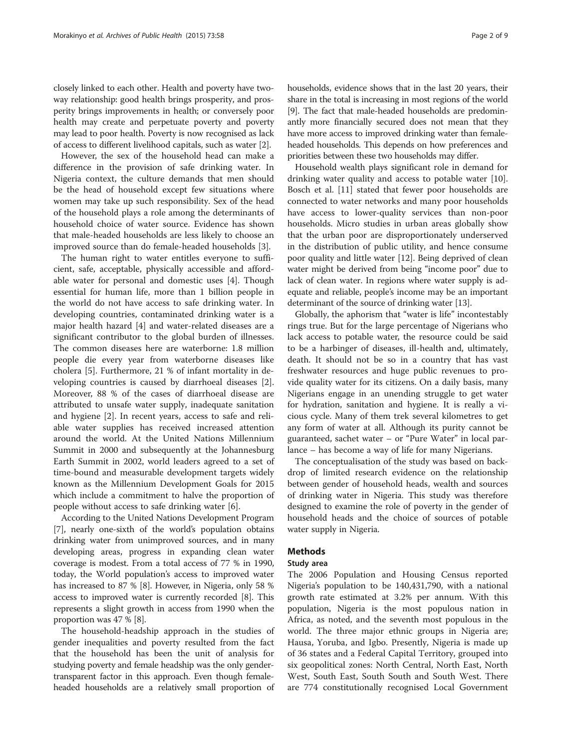closely linked to each other. Health and poverty have twoway relationship: good health brings prosperity, and prosperity brings improvements in health; or conversely poor health may create and perpetuate poverty and poverty may lead to poor health. Poverty is now recognised as lack of access to different livelihood capitals, such as water [\[2](#page-7-0)].

However, the sex of the household head can make a difference in the provision of safe drinking water. In Nigeria context, the culture demands that men should be the head of household except few situations where women may take up such responsibility. Sex of the head of the household plays a role among the determinants of household choice of water source. Evidence has shown that male-headed households are less likely to choose an improved source than do female-headed households [[3\]](#page-7-0).

The human right to water entitles everyone to sufficient, safe, acceptable, physically accessible and affordable water for personal and domestic uses [[4\]](#page-7-0). Though essential for human life, more than 1 billion people in the world do not have access to safe drinking water. In developing countries, contaminated drinking water is a major health hazard [[4\]](#page-7-0) and water-related diseases are a significant contributor to the global burden of illnesses. The common diseases here are waterborne: 1.8 million people die every year from waterborne diseases like cholera [\[5\]](#page-7-0). Furthermore, 21 % of infant mortality in developing countries is caused by diarrhoeal diseases [\[2](#page-7-0)]. Moreover, 88 % of the cases of diarrhoeal disease are attributed to unsafe water supply, inadequate sanitation and hygiene [\[2](#page-7-0)]. In recent years, access to safe and reliable water supplies has received increased attention around the world. At the United Nations Millennium Summit in 2000 and subsequently at the Johannesburg Earth Summit in 2002, world leaders agreed to a set of time-bound and measurable development targets widely known as the Millennium Development Goals for 2015 which include a commitment to halve the proportion of people without access to safe drinking water [[6\]](#page-7-0).

According to the United Nations Development Program [[7\]](#page-7-0), nearly one-sixth of the world's population obtains drinking water from unimproved sources, and in many developing areas, progress in expanding clean water coverage is modest. From a total access of 77 % in 1990, today, the World population's access to improved water has increased to 87 % [\[8](#page-7-0)]. However, in Nigeria, only 58 % access to improved water is currently recorded [[8\]](#page-7-0). This represents a slight growth in access from 1990 when the proportion was 47 % [\[8\]](#page-7-0).

The household-headship approach in the studies of gender inequalities and poverty resulted from the fact that the household has been the unit of analysis for studying poverty and female headship was the only gendertransparent factor in this approach. Even though femaleheaded households are a relatively small proportion of households, evidence shows that in the last 20 years, their share in the total is increasing in most regions of the world [[9](#page-7-0)]. The fact that male-headed households are predominantly more financially secured does not mean that they have more access to improved drinking water than femaleheaded households. This depends on how preferences and priorities between these two households may differ.

Household wealth plays significant role in demand for drinking water quality and access to potable water [\[10](#page-7-0)]. Bosch et al. [\[11](#page-7-0)] stated that fewer poor households are connected to water networks and many poor households have access to lower-quality services than non-poor households. Micro studies in urban areas globally show that the urban poor are disproportionately underserved in the distribution of public utility, and hence consume poor quality and little water [[12\]](#page-7-0). Being deprived of clean water might be derived from being "income poor" due to lack of clean water. In regions where water supply is adequate and reliable, people's income may be an important determinant of the source of drinking water [\[13](#page-7-0)].

Globally, the aphorism that "water is life" incontestably rings true. But for the large percentage of Nigerians who lack access to potable water, the resource could be said to be a harbinger of diseases, ill-health and, ultimately, death. It should not be so in a country that has vast freshwater resources and huge public revenues to provide quality water for its citizens. On a daily basis, many Nigerians engage in an unending struggle to get water for hydration, sanitation and hygiene. It is really a vicious cycle. Many of them trek several kilometres to get any form of water at all. Although its purity cannot be guaranteed, sachet water – or "Pure Water" in local parlance – has become a way of life for many Nigerians.

The conceptualisation of the study was based on backdrop of limited research evidence on the relationship between gender of household heads, wealth and sources of drinking water in Nigeria. This study was therefore designed to examine the role of poverty in the gender of household heads and the choice of sources of potable water supply in Nigeria.

# Methods

# Study area

The 2006 Population and Housing Census reported Nigeria's population to be 140,431,790, with a national growth rate estimated at 3.2% per annum. With this population, Nigeria is the most populous nation in Africa, as noted, and the seventh most populous in the world. The three major ethnic groups in Nigeria are; Hausa, Yoruba, and Igbo. Presently, Nigeria is made up of 36 states and a Federal Capital Territory, grouped into six geopolitical zones: North Central, North East, North West, South East, South South and South West. There are 774 constitutionally recognised Local Government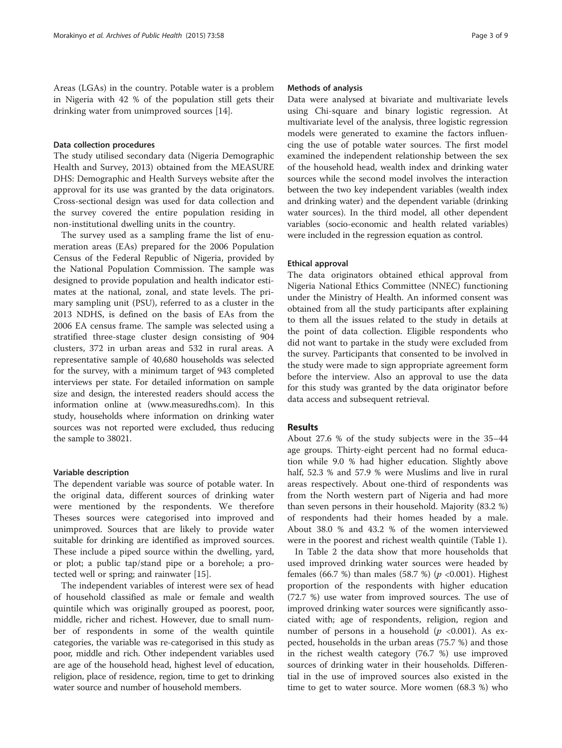Areas (LGAs) in the country. Potable water is a problem in Nigeria with 42 % of the population still gets their drinking water from unimproved sources [\[14](#page-7-0)].

# Data collection procedures

The study utilised secondary data (Nigeria Demographic Health and Survey, 2013) obtained from the MEASURE DHS: Demographic and Health Surveys website after the approval for its use was granted by the data originators. Cross-sectional design was used for data collection and the survey covered the entire population residing in non-institutional dwelling units in the country.

The survey used as a sampling frame the list of enumeration areas (EAs) prepared for the 2006 Population Census of the Federal Republic of Nigeria, provided by the National Population Commission. The sample was designed to provide population and health indicator estimates at the national, zonal, and state levels. The primary sampling unit (PSU), referred to as a cluster in the 2013 NDHS, is defined on the basis of EAs from the 2006 EA census frame. The sample was selected using a stratified three-stage cluster design consisting of 904 clusters, 372 in urban areas and 532 in rural areas. A representative sample of 40,680 households was selected for the survey, with a minimum target of 943 completed interviews per state. For detailed information on sample size and design, the interested readers should access the information online at ([www.measuredhs.com\)](http://www.measuredhs.com). In this study, households where information on drinking water sources was not reported were excluded, thus reducing the sample to 38021.

# Variable description

The dependent variable was source of potable water. In the original data, different sources of drinking water were mentioned by the respondents. We therefore Theses sources were categorised into improved and unimproved. Sources that are likely to provide water suitable for drinking are identified as improved sources. These include a piped source within the dwelling, yard, or plot; a public tap/stand pipe or a borehole; a protected well or spring; and rainwater [[15](#page-7-0)].

The independent variables of interest were sex of head of household classified as male or female and wealth quintile which was originally grouped as poorest, poor, middle, richer and richest. However, due to small number of respondents in some of the wealth quintile categories, the variable was re-categorised in this study as poor, middle and rich. Other independent variables used are age of the household head, highest level of education, religion, place of residence, region, time to get to drinking water source and number of household members.

## Methods of analysis

Data were analysed at bivariate and multivariate levels using Chi-square and binary logistic regression. At multivariate level of the analysis, three logistic regression models were generated to examine the factors influencing the use of potable water sources. The first model examined the independent relationship between the sex of the household head, wealth index and drinking water sources while the second model involves the interaction between the two key independent variables (wealth index and drinking water) and the dependent variable (drinking water sources). In the third model, all other dependent variables (socio-economic and health related variables) were included in the regression equation as control.

### Ethical approval

The data originators obtained ethical approval from Nigeria National Ethics Committee (NNEC) functioning under the Ministry of Health. An informed consent was obtained from all the study participants after explaining to them all the issues related to the study in details at the point of data collection. Eligible respondents who did not want to partake in the study were excluded from the survey. Participants that consented to be involved in the study were made to sign appropriate agreement form before the interview. Also an approval to use the data for this study was granted by the data originator before data access and subsequent retrieval.

# **Results**

About 27.6 % of the study subjects were in the 35–44 age groups. Thirty-eight percent had no formal education while 9.0 % had higher education. Slightly above half, 52.3 % and 57.9 % were Muslims and live in rural areas respectively. About one-third of respondents was from the North western part of Nigeria and had more than seven persons in their household. Majority (83.2 %) of respondents had their homes headed by a male. About 38.0 % and 43.2 % of the women interviewed were in the poorest and richest wealth quintile (Table [1](#page-3-0)).

In Table [2](#page-4-0) the data show that more households that used improved drinking water sources were headed by females (66.7 %) than males (58.7 %) ( $p$  <0.001). Highest proportion of the respondents with higher education (72.7 %) use water from improved sources. The use of improved drinking water sources were significantly associated with; age of respondents, religion, region and number of persons in a household ( $p < 0.001$ ). As expected, households in the urban areas (75.7 %) and those in the richest wealth category (76.7 %) use improved sources of drinking water in their households. Differential in the use of improved sources also existed in the time to get to water source. More women (68.3 %) who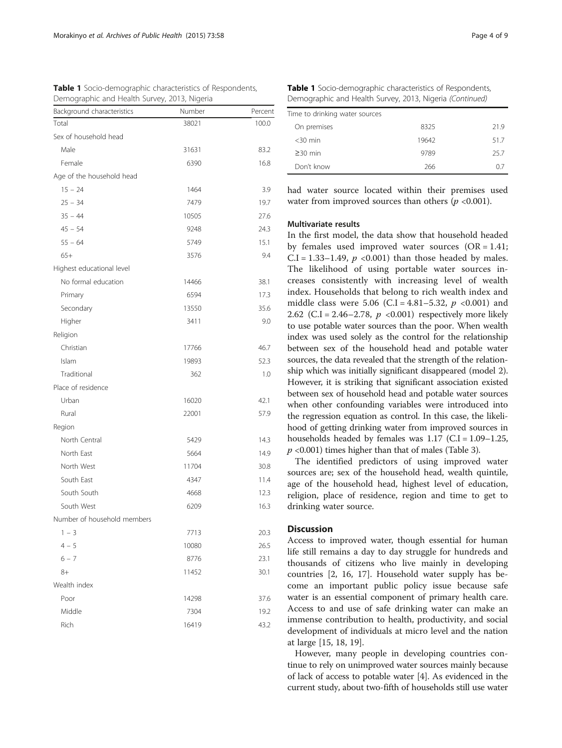| Background characteristics  | Number | Percent |
|-----------------------------|--------|---------|
| Total                       | 38021  | 100.0   |
| Sex of household head       |        |         |
| Male                        | 31631  | 83.2    |
| Female                      | 6390   | 16.8    |
| Age of the household head   |        |         |
| $15 - 24$                   | 1464   | 3.9     |
| $25 - 34$                   | 7479   | 19.7    |
| $35 - 44$                   | 10505  | 27.6    |
| $45 - 54$                   | 9248   | 24.3    |
| $55 - 64$                   | 5749   | 15.1    |
| $65+$                       | 3576   | 9.4     |
| Highest educational level   |        |         |
| No formal education         | 14466  | 38.1    |
| Primary                     | 6594   | 17.3    |
| Secondary                   | 13550  | 35.6    |
| Higher                      | 3411   | 9.0     |
| Religion                    |        |         |
| Christian                   | 17766  | 46.7    |
| Islam                       | 19893  | 52.3    |
| Traditional                 | 362    | 1.0     |
| Place of residence          |        |         |
| Urban                       | 16020  | 42.1    |
| Rural                       | 22001  | 57.9    |
| Region                      |        |         |
| North Central               | 5429   | 14.3    |
| North East                  | 5664   | 14.9    |
| North West                  | 11704  | 30.8    |
| South East                  | 4347   | 11.4    |
| South South                 | 4668   | 12.3    |
| South West                  | 6209   | 16.3    |
| Number of household members |        |         |
| $1 - 3$                     | 7713   | 20.3    |
| $4 - 5$                     | 10080  | 26.5    |
| $6 - 7$                     | 8776   | 23.1    |
| 8+                          | 11452  | 30.1    |
| Wealth index                |        |         |
| Poor                        | 14298  | 37.6    |
| Middle                      | 7304   | 19.2    |
| Rich                        | 16419  | 43.2    |
|                             |        |         |

<span id="page-3-0"></span>Table 1 Socio-demographic characteristics of Respondents, Demographic and Health Survey, 2013, Nigeria

| <b>Table 1</b> Socio-demographic characteristics of Respondents, |
|------------------------------------------------------------------|
| Demographic and Health Survey, 2013, Nigeria (Continued)         |

| Time to drinking water sources |       |      |
|--------------------------------|-------|------|
| On premises                    | 8325  | 21.9 |
| $<$ 30 min                     | 19642 | 51.7 |
| $\geq$ 30 min                  | 9789  | 25.7 |
| Don't know                     | 266   | (1)  |

had water source located within their premises used water from improved sources than others ( $p < 0.001$ ).

# Multivariate results

In the first model, the data show that household headed by females used improved water sources  $(OR = 1.41;$ C.I = 1.33–1.49,  $p \le 0.001$ ) than those headed by males. The likelihood of using portable water sources increases consistently with increasing level of wealth index. Households that belong to rich wealth index and middle class were 5.06 (C.I = 4.81–5.32,  $p \le 0.001$ ) and 2.62 (C.I = 2.46–2.78,  $p \le 0.001$ ) respectively more likely to use potable water sources than the poor. When wealth index was used solely as the control for the relationship between sex of the household head and potable water sources, the data revealed that the strength of the relationship which was initially significant disappeared (model 2). However, it is striking that significant association existed between sex of household head and potable water sources when other confounding variables were introduced into the regression equation as control. In this case, the likelihood of getting drinking water from improved sources in households headed by females was  $1.17$  (C.I =  $1.09-1.25$ ,  $p$  <0.001) times higher than that of males (Table [3](#page-5-0)).

The identified predictors of using improved water sources are; sex of the household head, wealth quintile, age of the household head, highest level of education, religion, place of residence, region and time to get to drinking water source.

# **Discussion**

Access to improved water, though essential for human life still remains a day to day struggle for hundreds and thousands of citizens who live mainly in developing countries [[2](#page-7-0), [16](#page-7-0), [17](#page-7-0)]. Household water supply has become an important public policy issue because safe water is an essential component of primary health care. Access to and use of safe drinking water can make an immense contribution to health, productivity, and social development of individuals at micro level and the nation at large [\[15, 18, 19\]](#page-7-0).

However, many people in developing countries continue to rely on unimproved water sources mainly because of lack of access to potable water [\[4](#page-7-0)]. As evidenced in the current study, about two-fifth of households still use water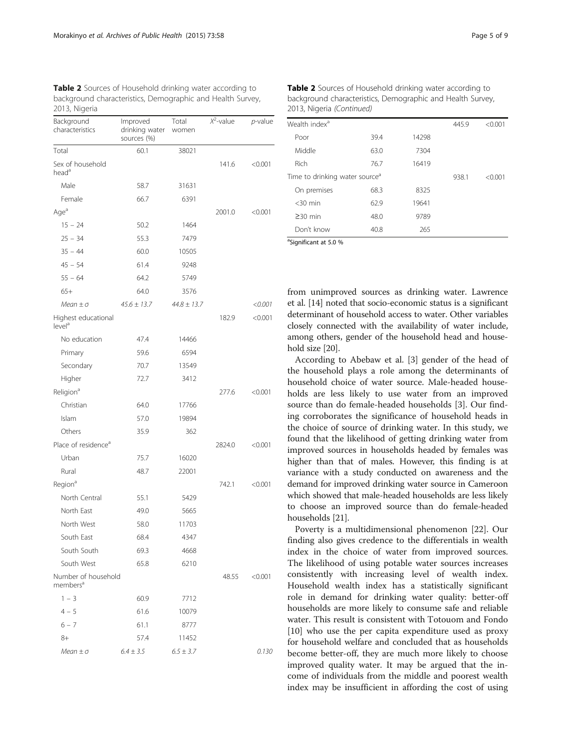| 201 <i>0</i> , mgana<br>Background<br>characteristics | Improved<br>drinking water | Total<br>women  | $X^2$ -value | <i>p</i> -value |
|-------------------------------------------------------|----------------------------|-----------------|--------------|-----------------|
|                                                       | sources (%)                |                 |              |                 |
| Total                                                 | 60.1                       | 38021           |              |                 |
| Sex of household<br>head <sup>a</sup>                 |                            |                 | 141.6        | < 0.001         |
| Male                                                  | 58.7                       | 31631           |              |                 |
| Female                                                | 66.7                       | 6391            |              |                 |
| Age <sup>a</sup>                                      |                            |                 | 2001.0       | < 0.001         |
| $15 - 24$                                             | 50.2                       | 1464            |              |                 |
| $25 - 34$                                             | 55.3                       | 7479            |              |                 |
| $35 - 44$                                             | 60.0                       | 10505           |              |                 |
| $45 - 54$                                             | 61.4                       | 9248            |              |                 |
| $55 - 64$                                             | 64.2                       | 5749            |              |                 |
| $65+$                                                 | 64.0                       | 3576            |              |                 |
| Mean $\pm \sigma$                                     | $45.6 \pm 13.7$            | $44.8 \pm 13.7$ |              | < 0.001         |
| Highest educational<br>level <sup>a</sup>             |                            |                 | 182.9        | < 0.001         |
| No education                                          | 47.4                       | 14466           |              |                 |
| Primary                                               | 59.6                       | 6594            |              |                 |
| Secondary                                             | 70.7                       | 13549           |              |                 |
| Higher                                                | 72.7                       | 3412            |              |                 |
| Religion <sup>a</sup>                                 |                            |                 | 277.6        | < 0.001         |
| Christian                                             | 64.0                       | 17766           |              |                 |
| Islam                                                 | 57.0                       | 19894           |              |                 |
| Others                                                | 35.9                       | 362             |              |                 |
| Place of residence <sup>a</sup>                       |                            |                 | 2824.0       | < 0.001         |
| Urban                                                 | 75.7                       | 16020           |              |                 |
| Rural                                                 | 48.7                       | 22001           |              |                 |
| Region <sup>a</sup>                                   |                            |                 | 742.1        | < 0.001         |
| North Central                                         | 55.1                       | 5429            |              |                 |
| North East                                            | 49.0                       | 5665            |              |                 |
| North West                                            | 58.0                       | 11703           |              |                 |
| South East                                            | 68.4                       | 4347            |              |                 |
| South South                                           | 69.3                       | 4668            |              |                 |
| South West                                            | 65.8                       | 6210            |              |                 |
| Number of household<br>members <sup>a</sup>           |                            |                 | 48.55        | < 0.001         |
| $1 - 3$                                               | 60.9                       | 7712            |              |                 |
| $4 - 5$                                               | 61.6                       | 10079           |              |                 |
| $6 - 7$                                               | 61.1                       | 8777            |              |                 |
| 8+                                                    | 57.4                       | 11452           |              |                 |
| Mean $\pm$ $\sigma$                                   | $6.4 \pm 3.5$              | $6.5 \pm 3.7$   |              | 0.130           |

<span id="page-4-0"></span>Table 2 Sources of Household drinking water according to background characteristics, Demographic and Health Survey, 2013, Nigeria

| background characteristics, Demographic and Health Survey,<br>2013, Nigeria (Continued) |     |       |      |         |
|-----------------------------------------------------------------------------------------|-----|-------|------|---------|
| Wealth index <sup>a</sup>                                                               |     |       | 4459 | < 0.001 |
| Poor                                                                                    | 394 | 14298 |      |         |
| $A$ $A$ : $A$ $A$ $A$                                                                   |     | 7201  |      |         |

Table 2 Sources of Household drinking water according to

| Middle                                     | 63.0 | 7304  |       |         |
|--------------------------------------------|------|-------|-------|---------|
| Rich                                       | 76.7 | 16419 |       |         |
| Time to drinking water source <sup>a</sup> |      |       | 938.1 | < 0.001 |
| On premises                                | 68.3 | 8325  |       |         |
| $<$ 30 min                                 | 62.9 | 19641 |       |         |
| $\geq$ 30 min                              | 48.0 | 9789  |       |         |
| Don't know                                 | 40.8 | 265   |       |         |
|                                            |      |       |       |         |

<sup>a</sup>Significant at 5.0 %

from unimproved sources as drinking water. Lawrence et al. [[14](#page-7-0)] noted that socio-economic status is a significant determinant of household access to water. Other variables closely connected with the availability of water include, among others, gender of the household head and household size [[20](#page-7-0)].

According to Abebaw et al. [\[3](#page-7-0)] gender of the head of the household plays a role among the determinants of household choice of water source. Male-headed households are less likely to use water from an improved source than do female-headed households [\[3](#page-7-0)]. Our finding corroborates the significance of household heads in the choice of source of drinking water. In this study, we found that the likelihood of getting drinking water from improved sources in households headed by females was higher than that of males. However, this finding is at variance with a study conducted on awareness and the demand for improved drinking water source in Cameroon which showed that male-headed households are less likely to choose an improved source than do female-headed households [\[21](#page-7-0)].

Poverty is a multidimensional phenomenon [[22\]](#page-7-0). Our finding also gives credence to the differentials in wealth index in the choice of water from improved sources. The likelihood of using potable water sources increases consistently with increasing level of wealth index. Household wealth index has a statistically significant role in demand for drinking water quality: better-off households are more likely to consume safe and reliable water. This result is consistent with Totouom and Fondo [[10\]](#page-7-0) who use the per capita expenditure used as proxy for household welfare and concluded that as households become better-off, they are much more likely to choose improved quality water. It may be argued that the income of individuals from the middle and poorest wealth index may be insufficient in affording the cost of using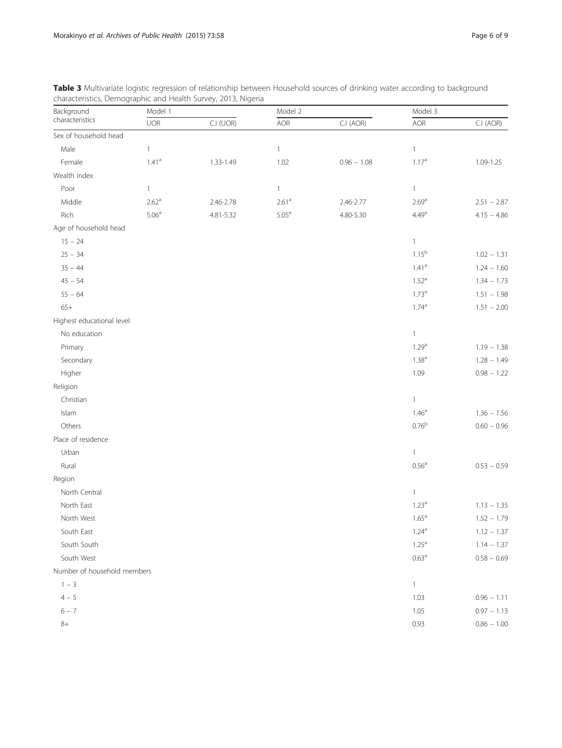<span id="page-5-0"></span>

| Table 3 Multivariate logistic regression of relationship between Household sources of drinking water according to background |  |  |  |  |  |
|------------------------------------------------------------------------------------------------------------------------------|--|--|--|--|--|
| characteristics, Demographic and Health Survey, 2013, Nigeria                                                                |  |  |  |  |  |

| Background                  | Model 1           |           | Model 2           |               | Model 3           |               |
|-----------------------------|-------------------|-----------|-------------------|---------------|-------------------|---------------|
| characteristics             | <b>UOR</b>        | C.I (UOR) | AOR               | C.I (AOR)     | AOR               | C.I (AOR)     |
| Sex of household head       |                   |           |                   |               |                   |               |
| Male                        | $\mathbf{1}$      |           | $\mathbf{1}$      |               | $\mathbf{1}$      |               |
| Female                      | $1.41^{\rm a}$    | 1.33-1.49 | 1.02              | $0.96 - 1.08$ | $1.17^{a}$        | 1.09-1.25     |
| Wealth index                |                   |           |                   |               |                   |               |
| Poor                        | $\mathbf{1}$      |           | $\mathbf{1}$      |               | $\mathbf{1}$      |               |
| Middle                      | 2.62 <sup>a</sup> | 2.46-2.78 | 2.61 <sup>a</sup> | 2.46-2.77     | 2.69 <sup>a</sup> | $2.51 - 2.87$ |
| Rich                        | 5.06 <sup>a</sup> | 4.81-5.32 | 5.05 <sup>a</sup> | 4.80-5.30     | 4.49 <sup>a</sup> | $4.15 - 4.86$ |
| Age of household head       |                   |           |                   |               |                   |               |
| $15 - 24$                   |                   |           |                   |               | $\mathbf{1}$      |               |
| $25 - 34$                   |                   |           |                   |               | $1.15^{b}$        | $1.02 - 1.31$ |
| $35 - 44$                   |                   |           |                   |               | 1.41 <sup>a</sup> | $1.24 - 1.60$ |
| $45 - 54$                   |                   |           |                   |               | $1.52^a$          | $1.34 - 1.73$ |
| $55 - 64$                   |                   |           |                   |               | $1.73^{a}$        | $1.51 - 1.98$ |
| $65+$                       |                   |           |                   |               | $1.74^{a}$        | $1.51 - 2.00$ |
| Highest educational level   |                   |           |                   |               |                   |               |
| No education                |                   |           |                   |               | $\mathbf{1}$      |               |
| Primary                     |                   |           |                   |               | 1.29 <sup>a</sup> | $1.19 - 1.38$ |
| Secondary                   |                   |           |                   |               | $1.38^{a}$        | $1.28 - 1.49$ |
| Higher                      |                   |           |                   |               | 1.09              | $0.98 - 1.22$ |
| Religion                    |                   |           |                   |               |                   |               |
| Christian                   |                   |           |                   |               | $\mathbf{1}$      |               |
| Islam                       |                   |           |                   |               | $1.46^{\text{a}}$ | $1.36 - 1.56$ |
| Others                      |                   |           |                   |               | 0.76 <sup>b</sup> | $0.60 - 0.96$ |
| Place of residence          |                   |           |                   |               |                   |               |
| Urban                       |                   |           |                   |               | $\mathbf{1}$      |               |
| Rural                       |                   |           |                   |               | 0.56 <sup>a</sup> | $0.53 - 0.59$ |
| Region                      |                   |           |                   |               |                   |               |
| North Central               |                   |           |                   |               | $\mathbf{1}$      |               |
| North East                  |                   |           |                   |               | $1.23^{a}$        | $1.13 - 1.35$ |
| North West                  |                   |           |                   |               | 1.65 <sup>a</sup> | $1.52 - 1.79$ |
| South East                  |                   |           |                   |               | $1.24^a$          | $1.12 - 1.37$ |
| South South                 |                   |           |                   |               | 1.25 <sup>a</sup> | $1.14 - 1.37$ |
| South West                  |                   |           |                   |               | 0.63 <sup>a</sup> | $0.58 - 0.69$ |
| Number of household members |                   |           |                   |               |                   |               |
| $1 - 3$                     |                   |           |                   |               | $\mathbf{1}$      |               |
| $4 - 5$                     |                   |           |                   |               | 1.03              | $0.96 - 1.11$ |
| $6 - 7$                     |                   |           |                   |               | 1.05              | $0.97 - 1.13$ |
| $8+$                        |                   |           |                   |               | 0.93              | $0.86 - 1.00$ |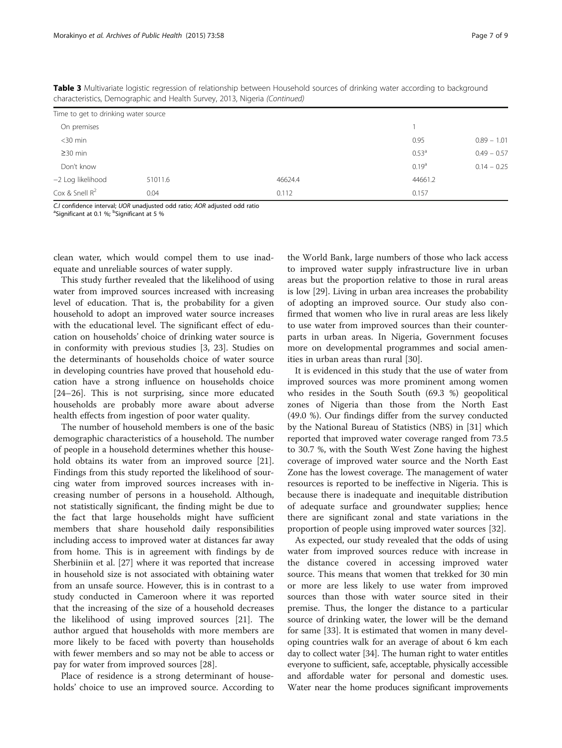| Time to get to drinking water source |         |         |                   |               |
|--------------------------------------|---------|---------|-------------------|---------------|
| On premises                          |         |         |                   |               |
| $<$ 30 min                           |         |         | 0.95              | $0.89 - 1.01$ |
| $\geq$ 30 min                        |         |         | 0.53 <sup>a</sup> | $0.49 - 0.57$ |
| Don't know                           |         |         | 0.19 <sup>a</sup> | $0.14 - 0.25$ |
| -2 Log likelihood                    | 51011.6 | 46624.4 | 44661.2           |               |
| Cox & Snell $R^2$                    | 0.04    | 0.112   | 0.157             |               |

Table 3 Multivariate logistic regression of relationship between Household sources of drinking water according to background characteristics, Demographic and Health Survey, 2013, Nigeria (Continued)

C.I confidence interval; UOR unadjusted odd ratio; AOR adjusted odd ratio <sup>a</sup>

Significant at 0.1 %; <sup>b</sup>Significant at 5 %

clean water, which would compel them to use inadequate and unreliable sources of water supply.

This study further revealed that the likelihood of using water from improved sources increased with increasing level of education. That is, the probability for a given household to adopt an improved water source increases with the educational level. The significant effect of education on households' choice of drinking water source is in conformity with previous studies [\[3](#page-7-0), [23\]](#page-7-0). Studies on the determinants of households choice of water source in developing countries have proved that household education have a strong influence on households choice [[24](#page-7-0)–[26](#page-7-0)]. This is not surprising, since more educated households are probably more aware about adverse health effects from ingestion of poor water quality.

The number of household members is one of the basic demographic characteristics of a household. The number of people in a household determines whether this household obtains its water from an improved source [\[21](#page-7-0)]. Findings from this study reported the likelihood of sourcing water from improved sources increases with increasing number of persons in a household. Although, not statistically significant, the finding might be due to the fact that large households might have sufficient members that share household daily responsibilities including access to improved water at distances far away from home. This is in agreement with findings by de Sherbiniin et al. [\[27](#page-7-0)] where it was reported that increase in household size is not associated with obtaining water from an unsafe source. However, this is in contrast to a study conducted in Cameroon where it was reported that the increasing of the size of a household decreases the likelihood of using improved sources [[21](#page-7-0)]. The author argued that households with more members are more likely to be faced with poverty than households with fewer members and so may not be able to access or pay for water from improved sources [[28\]](#page-7-0).

Place of residence is a strong determinant of households' choice to use an improved source. According to

the World Bank, large numbers of those who lack access to improved water supply infrastructure live in urban areas but the proportion relative to those in rural areas is low [[29\]](#page-8-0). Living in urban area increases the probability of adopting an improved source. Our study also confirmed that women who live in rural areas are less likely to use water from improved sources than their counterparts in urban areas. In Nigeria, Government focuses more on developmental programmes and social amenities in urban areas than rural [[30](#page-8-0)].

It is evidenced in this study that the use of water from improved sources was more prominent among women who resides in the South South (69.3 %) geopolitical zones of Nigeria than those from the North East (49.0 %). Our findings differ from the survey conducted by the National Bureau of Statistics (NBS) in [[31\]](#page-8-0) which reported that improved water coverage ranged from 73.5 to 30.7 %, with the South West Zone having the highest coverage of improved water source and the North East Zone has the lowest coverage. The management of water resources is reported to be ineffective in Nigeria. This is because there is inadequate and inequitable distribution of adequate surface and groundwater supplies; hence there are significant zonal and state variations in the proportion of people using improved water sources [\[32](#page-8-0)].

As expected, our study revealed that the odds of using water from improved sources reduce with increase in the distance covered in accessing improved water source. This means that women that trekked for 30 min or more are less likely to use water from improved sources than those with water source sited in their premise. Thus, the longer the distance to a particular source of drinking water, the lower will be the demand for same [\[33](#page-8-0)]. It is estimated that women in many developing countries walk for an average of about 6 km each day to collect water [\[34\]](#page-8-0). The human right to water entitles everyone to sufficient, safe, acceptable, physically accessible and affordable water for personal and domestic uses. Water near the home produces significant improvements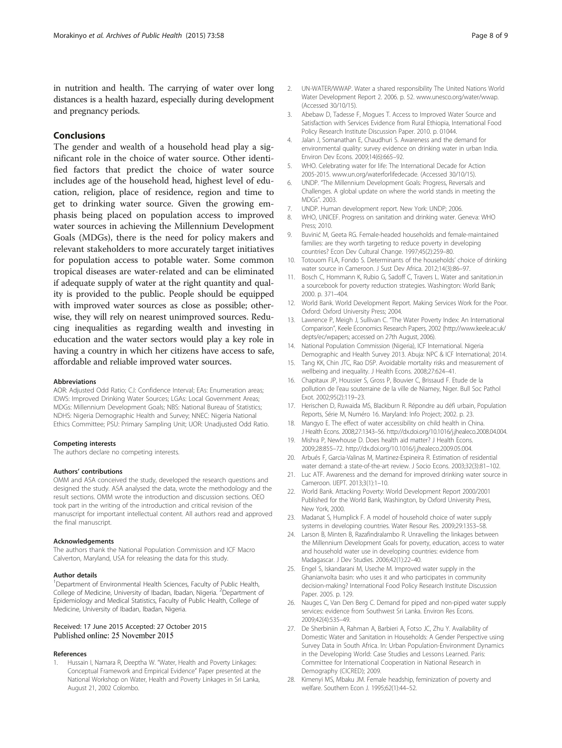<span id="page-7-0"></span>in nutrition and health. The carrying of water over long distances is a health hazard, especially during development and pregnancy periods.

# Conclusions

The gender and wealth of a household head play a significant role in the choice of water source. Other identified factors that predict the choice of water source includes age of the household head, highest level of education, religion, place of residence, region and time to get to drinking water source. Given the growing emphasis being placed on population access to improved water sources in achieving the Millennium Development Goals (MDGs), there is the need for policy makers and relevant stakeholders to more accurately target initiatives for population access to potable water. Some common tropical diseases are water-related and can be eliminated if adequate supply of water at the right quantity and quality is provided to the public. People should be equipped with improved water sources as close as possible; otherwise, they will rely on nearest unimproved sources. Reducing inequalities as regarding wealth and investing in education and the water sectors would play a key role in having a country in which her citizens have access to safe, affordable and reliable improved water sources.

#### Abbreviations

AOR: Adjusted Odd Ratio; C.I: Confidence Interval; EAs: Enumeration areas; IDWS: Improved Drinking Water Sources; LGAs: Local Government Areas; MDGs: Millennium Development Goals; NBS: National Bureau of Statistics; NDHS: Nigeria Demographic Health and Survey; NNEC: Nigeria National Ethics Committee; PSU: Primary Sampling Unit; UOR: Unadjusted Odd Ratio.

#### Competing interests

The authors declare no competing interests.

### Authors' contributions

OMM and ASA conceived the study, developed the research questions and designed the study. ASA analysed the data, wrote the methodology and the result sections. OMM wrote the introduction and discussion sections. OEO took part in the writing of the introduction and critical revision of the manuscript for important intellectual content. All authors read and approved the final manuscript.

#### Acknowledgements

The authors thank the National Population Commission and ICF Macro Calverton, Maryland, USA for releasing the data for this study.

#### Author details

<sup>1</sup>Department of Environmental Health Sciences, Faculty of Public Health, College of Medicine, University of Ibadan, Ibadan, Nigeria. <sup>2</sup>Department of Epidemiology and Medical Statistics, Faculty of Public Health, College of Medicine, University of Ibadan, Ibadan, Nigeria.

# Received: 17 June 2015 Accepted: 27 October 2015 Published online: 25 November 2015

#### References

Hussain I, Namara R, Deeptha W. "Water, Health and Poverty Linkages: Conceptual Framework and Empirical Evidence" Paper presented at the National Workshop on Water, Health and Poverty Linkages in Sri Lanka, August 21, 2002 Colombo.

- 2. UN-WATER/WWAP. Water a shared responsibility The United Nations World Water Development Report 2. 2006. p. 52. [www.unesco.org/water/wwap.](http://www.unesco.org/water/wwap) (Accessed 30/10/15).
- 3. Abebaw D, Tadesse F, Mogues T. Access to Improved Water Source and Satisfaction with Services Evidence from Rural Ethiopia, International Food Policy Research Institute Discussion Paper. 2010. p. 01044.
- 4. Jalan J, Somanathan E, Chaudhuri S. Awareness and the demand for environmental quality: survey evidence on drinking water in urban India. Environ Dev Econs. 2009;14(6):665–92.
- 5. WHO. Celebrating water for life: The International Decade for Action 2005-2015. [www.un.org/waterforlifedecade.](http://www.un.org/waterforlifedecade) (Accessed 30/10/15).
- 6. UNDP. "The Millennium Development Goals: Progress, Reversals and Challenges. A global update on where the world stands in meeting the MDGs". 2003.
- 7. UNDP. Human development report. New York: UNDP; 2006.
- 8. WHO, UNICEF. Progress on sanitation and drinking water. Geneva: WHO Press; 2010.
- 9. Buvinić M, Geeta RG. Female-headed households and female-maintained families: are they worth targeting to reduce poverty in developing countries? Econ Dev Cultural Change. 1997;45(2):259–80.
- 10. Totouom FLA, Fondo S. Determinants of the households' choice of drinking water source in Cameroon. J Sust Dev Africa. 2012;14(3):86–97.
- 11. Bosch C, Hommann K, Rubio G, Sadoff C, Travers L. Water and sanitation.in a sourcebook for poverty reduction strategies. Washington: World Bank; 2000. p. 371–404.
- 12. World Bank. World Development Report. Making Services Work for the Poor. Oxford: Oxford University Press; 2004.
- 13. Lawrence P, Meigh J, Sullivan C. "The Water Poverty Index: An International Comparison", Keele Economics Research Papers, 2002 [\(http://www.keele.ac.uk/](http://www.keele.ac.uk/depts/ec/wpapers) [depts/ec/wpapers;](http://www.keele.ac.uk/depts/ec/wpapers) accessed on 27th August, 2006).
- 14. National Population Commission (Nigeria), ICF International. Nigeria Demographic and Health Survey 2013. Abuja: NPC & ICF International; 2014.
- 15. Tang KK, Chin JTC, Rao DSP. Avoidable mortality risks and measurement of wellbeing and inequality. J Health Econs. 2008;27:624–41.
- 16. Chapitaux JP, Houssier S, Gross P, Bouvier C, Brissaud F. Etude de la pollution de l'eau souterraine de la ville de Niamey, Niger. Bull Soc Pathol Exot. 2002;95(2):119–23.
- 17. Herischen D, Ruwaida MS, Blackburn R. Répondre au défi urbain, Population Reports, Série M, Numéro 16. Maryland: Info Project; 2002. p. 23.
- 18. Mangyo E. The effect of water accessibility on child health in China. J Health Econs. 2008;27:1343–56. [http://dx.doi.org/10.1016/j.jhealeco.2008.04.004.](http://dx.doi.org/10.1016/j.jhealeco.2008.04.004)
- 19. Mishra P, Newhouse D. Does health aid matter? J Health Econs. 2009;28:855–72. [http://dx.doi.org/10.1016/j.jhealeco.2009.05.004.](http://dx.doi.org/10.1016/j.jhealeco.2009.05.004)
- 20. Arbués F, Garcia-Valinas M, Martinez-Espineira R. Estimation of residential water demand: a state-of-the-art review. J Socio Econs. 2003;32(3):81–102.
- 21. Luc ATF. Awareness and the demand for improved drinking water source in Cameroon. IJEPT. 2013;3(1):1–10.
- 22. World Bank. Attacking Poverty: World Development Report 2000/2001 Published for the World Bank, Washington, by Oxford University Press, New York, 2000.
- 23. Madanat S, Humplick F. A model of household choice of water supply systems in developing countries. Water Resour Res. 2009;29:1353–58.
- 24. Larson B, Minten B, Razafindralambo R. Unravelling the linkages between the Millennium Development Goals for poverty, education, access to water and household water use in developing countries: evidence from Madagascar. J Dev Studies. 2006;42(1):22–40.
- 25. Engel S, Iskandarani M, Useche M. Improved water supply in the Ghanianvolta basin: who uses it and who participates in community decision-making? International Food Policy Research Institute Discussion Paper. 2005. p. 129.
- 26. Nauges C, Van Den Berg C. Demand for piped and non-piped water supply services: evidence from Southwest Sri Lanka. Environ Res Econs. 2009;42(4):535–49.
- 27. De Sherbiniin A, Rahman A, Barbieri A, Fotso JC, Zhu Y. Availability of Domestic Water and Sanitation in Households: A Gender Perspective using Survey Data in South Africa. In: Urban Population-Environment Dynamics in the Developing World: Case Studies and Lessons Learned. Paris: Committee for International Cooperation in National Research in Demography (CICRED); 2009.
- 28. Kimenyi MS, Mbaku JM. Female headship, feminization of poverty and welfare. Southern Econ J. 1995;62(1):44–52.